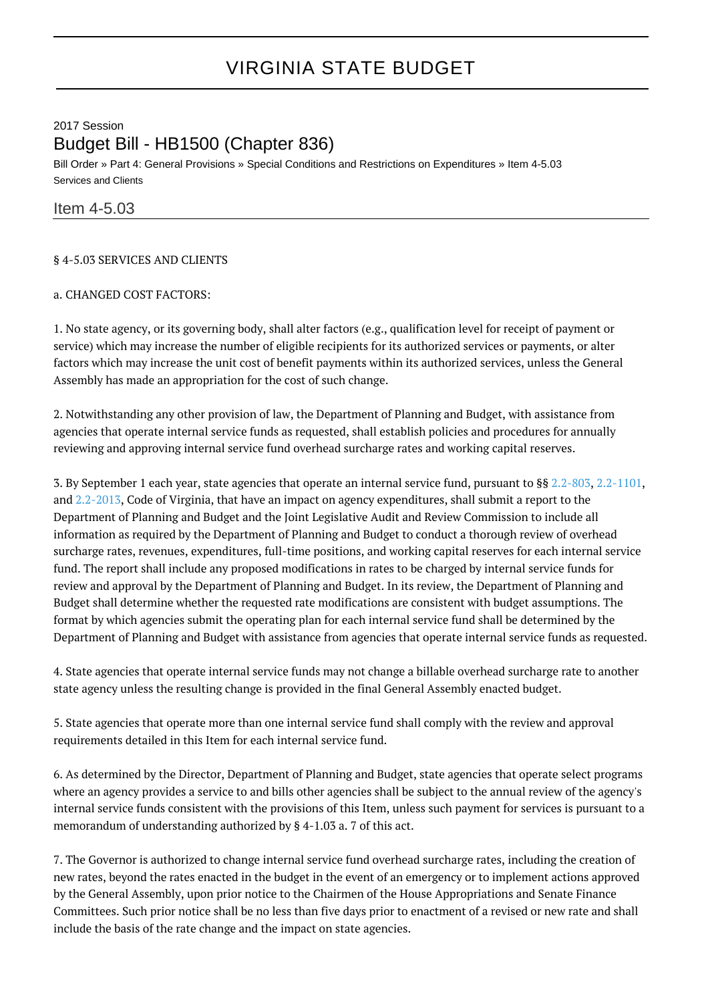# 2017 Session Budget Bill - HB1500 (Chapter 836)

Bill Order » Part 4: General Provisions » Special Conditions and Restrictions on Expenditures » Item 4-5.03 Services and Clients

# Item 4-5.03

## § 4-5.03 SERVICES AND CLIENTS

#### a. CHANGED COST FACTORS:

1. No state agency, or its governing body, shall alter factors (e.g., qualification level for receipt of payment or service) which may increase the number of eligible recipients for its authorized services or payments, or alter factors which may increase the unit cost of benefit payments within its authorized services, unless the General Assembly has made an appropriation for the cost of such change.

2. Notwithstanding any other provision of law, the Department of Planning and Budget, with assistance from agencies that operate internal service funds as requested, shall establish policies and procedures for annually reviewing and approving internal service fund overhead surcharge rates and working capital reserves.

3. By September 1 each year, state agencies that operate an internal service fund, pursuant to §§ [2.2-803](http://law.lis.virginia.gov/vacode/2.2-803/), [2.2-1101](http://law.lis.virginia.gov/vacode/2.2-1101/), and [2.2-2013,](http://law.lis.virginia.gov/vacode/2.2-2013/) Code of Virginia, that have an impact on agency expenditures, shall submit a report to the Department of Planning and Budget and the Joint Legislative Audit and Review Commission to include all information as required by the Department of Planning and Budget to conduct a thorough review of overhead surcharge rates, revenues, expenditures, full-time positions, and working capital reserves for each internal service fund. The report shall include any proposed modifications in rates to be charged by internal service funds for review and approval by the Department of Planning and Budget. In its review, the Department of Planning and Budget shall determine whether the requested rate modifications are consistent with budget assumptions. The format by which agencies submit the operating plan for each internal service fund shall be determined by the Department of Planning and Budget with assistance from agencies that operate internal service funds as requested.

4. State agencies that operate internal service funds may not change a billable overhead surcharge rate to another state agency unless the resulting change is provided in the final General Assembly enacted budget.

5. State agencies that operate more than one internal service fund shall comply with the review and approval requirements detailed in this Item for each internal service fund.

6. As determined by the Director, Department of Planning and Budget, state agencies that operate select programs where an agency provides a service to and bills other agencies shall be subject to the annual review of the agency's internal service funds consistent with the provisions of this Item, unless such payment for services is pursuant to a memorandum of understanding authorized by § 4-1.03 a. 7 of this act.

7. The Governor is authorized to change internal service fund overhead surcharge rates, including the creation of new rates, beyond the rates enacted in the budget in the event of an emergency or to implement actions approved by the General Assembly, upon prior notice to the Chairmen of the House Appropriations and Senate Finance Committees. Such prior notice shall be no less than five days prior to enactment of a revised or new rate and shall include the basis of the rate change and the impact on state agencies.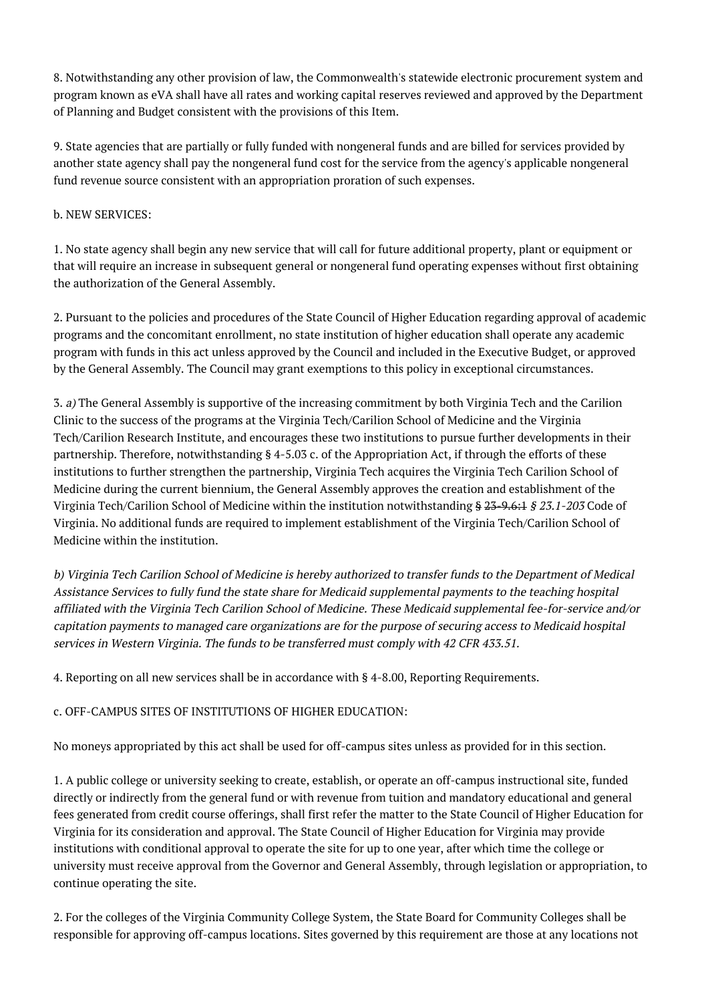8. Notwithstanding any other provision of law, the Commonwealth's statewide electronic procurement system and program known as eVA shall have all rates and working capital reserves reviewed and approved by the Department of Planning and Budget consistent with the provisions of this Item.

9. State agencies that are partially or fully funded with nongeneral funds and are billed for services provided by another state agency shall pay the nongeneral fund cost for the service from the agency's applicable nongeneral fund revenue source consistent with an appropriation proration of such expenses.

#### b. NEW SERVICES:

1. No state agency shall begin any new service that will call for future additional property, plant or equipment or that will require an increase in subsequent general or nongeneral fund operating expenses without first obtaining the authorization of the General Assembly.

2. Pursuant to the policies and procedures of the State Council of Higher Education regarding approval of academic programs and the concomitant enrollment, no state institution of higher education shall operate any academic program with funds in this act unless approved by the Council and included in the Executive Budget, or approved by the General Assembly. The Council may grant exemptions to this policy in exceptional circumstances.

3. a) The General Assembly is supportive of the increasing commitment by both Virginia Tech and the Carilion Clinic to the success of the programs at the Virginia Tech/Carilion School of Medicine and the Virginia Tech/Carilion Research Institute, and encourages these two institutions to pursue further developments in their partnership. Therefore, notwithstanding § 4-5.03 c. of the Appropriation Act, if through the efforts of these institutions to further strengthen the partnership, Virginia Tech acquires the Virginia Tech Carilion School of Medicine during the current biennium, the General Assembly approves the creation and establishment of the Virginia Tech/Carilion School of Medicine within the institution notwithstanding § 23-9.6:1 § 23.1-203 Code of Virginia. No additional funds are required to implement establishment of the Virginia Tech/Carilion School of Medicine within the institution.

b) Virginia Tech Carilion School of Medicine is hereby authorized to transfer funds to the Department of Medical Assistance Services to fully fund the state share for Medicaid supplemental payments to the teaching hospital affiliated with the Virginia Tech Carilion School of Medicine. These Medicaid supplemental fee-for-service and/or capitation payments to managed care organizations are for the purpose of securing access to Medicaid hospital services in Western Virginia. The funds to be transferred must comply with 42 CFR 433.51.

4. Reporting on all new services shall be in accordance with § 4-8.00, Reporting Requirements.

## c. OFF-CAMPUS SITES OF INSTITUTIONS OF HIGHER EDUCATION:

No moneys appropriated by this act shall be used for off-campus sites unless as provided for in this section.

1. A public college or university seeking to create, establish, or operate an off-campus instructional site, funded directly or indirectly from the general fund or with revenue from tuition and mandatory educational and general fees generated from credit course offerings, shall first refer the matter to the State Council of Higher Education for Virginia for its consideration and approval. The State Council of Higher Education for Virginia may provide institutions with conditional approval to operate the site for up to one year, after which time the college or university must receive approval from the Governor and General Assembly, through legislation or appropriation, to continue operating the site.

2. For the colleges of the Virginia Community College System, the State Board for Community Colleges shall be responsible for approving off-campus locations. Sites governed by this requirement are those at any locations not